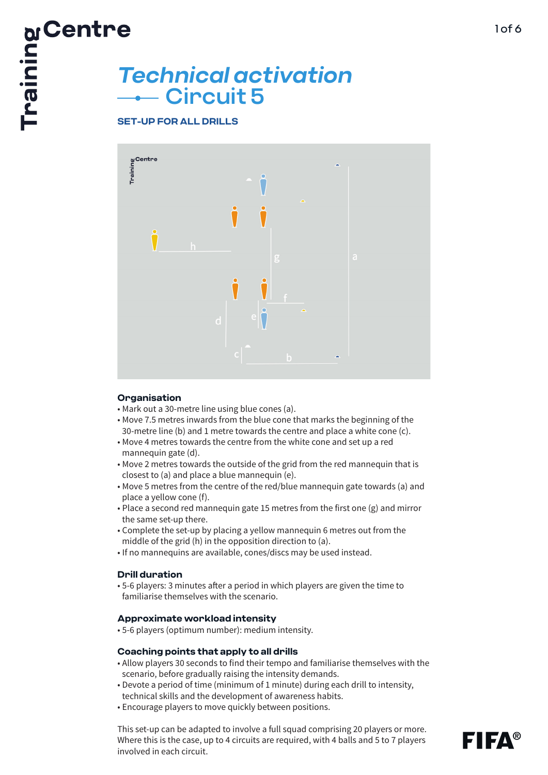# Circuit 5 **Technical activation<br>
<b>Technical activation**<br> **Circuit 5**<br> **Circuit 5**

#### **SET-UP FOR ALL DRILLS**



#### **Organisation**

- Mark out a 30-metre line using blue cones (a).
- Move 7.5 metres inwards from the blue cone that marks the beginning of the 30-metre line (b) and 1 metre towards the centre and place a white cone (c).
- Move 4 metres towards the centre from the white cone and set up a red mannequin gate (d).
- Move 2 metres towards the outside of the grid from the red mannequin that is closest to (a) and place a blue mannequin (e).
- Move 5 metres from the centre of the red/blue mannequin gate towards (a) and place a yellow cone (f).
- Place a second red mannequin gate 15 metres from the first one (g) and mirror the same set-up there.
- Complete the set-up by placing a yellow mannequin 6 metres out from the middle of the grid (h) in the opposition direction to (a).
- If no mannequins are available, cones/discs may be used instead.

#### **Drill duration**

• 5-6 players: 3 minutes after a period in which players are given the time to familiarise themselves with the scenario.

#### **Approximate workload intensity**

• 5-6 players (optimum number): medium intensity.

#### **Coaching points that apply to all drills**

- Allow players 30 seconds to find their tempo and familiarise themselves with the scenario, before gradually raising the intensity demands.
- Devote a period of time (minimum of 1 minute) during each drill to intensity, technical skills and the development of awareness habits.
- Encourage players to move quickly between positions.

This set-up can be adapted to involve a full squad comprising 20 players or more. Where this is the case, up to 4 circuits are required, with 4 balls and 5 to 7 players involved in each circuit.



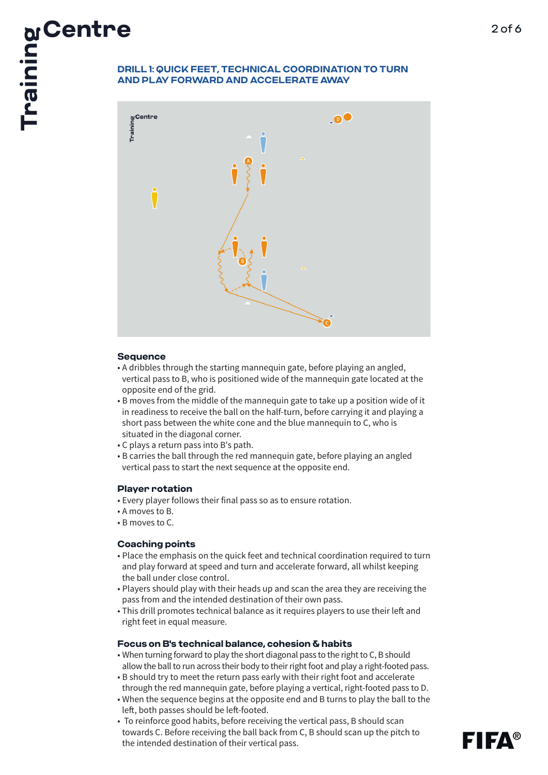## **AND PLAY FORWARD AND ACCELERATE AWAY**



#### **Sequence**

- A dribbles through the starting mannequin gate, before playing an angled, vertical pass to B, who is positioned wide of the mannequin gate located at the opposite end of the grid.
- B moves from the middle of the mannequin gate to take up a position wide of it in readiness to receive the ball on the half-turn, before carrying it and playing a short pass between the white cone and the blue mannequin to C, who is situated in the diagonal corner.
- C plays a return pass into B's path.
- B carries the ball through the red mannequin gate, before playing an angled vertical pass to start the next sequence at the opposite end.
- **Player rotation**
- Every player follows their final pass so as to ensure rotation.
- A moves to B.
- B moves to C.

### **Coaching points**

- Place the emphasis on the quick feet and technical coordination required to turn and play forward at speed and turn and accelerate forward, all whilst keeping the ball under close control.
- Players should play with their heads up and scan the area they are receiving the pass from and the intended destination of their own pass.
- This drill promotes technical balance as it requires players to use their left and right feet in equal measure.

### **Focus on B's technical balance, cohesion & habits**

- When turning forward to play the short diagonal pass to the right to C, B should allow the ball to run across their body to their right foot and play a right-footed pass.
- B should try to meet the return pass early with their right foot and accelerate through the red mannequin gate, before playing a vertical, right-footed pass to D.
- When the sequence begins at the opposite end and B turns to play the ball to the left, both passes should be left-footed.
- To reinforce good habits, before receiving the vertical pass, B should scan towards C. Before receiving the ball back from C, B should scan up the pitch to the intended destination of their vertical pass.

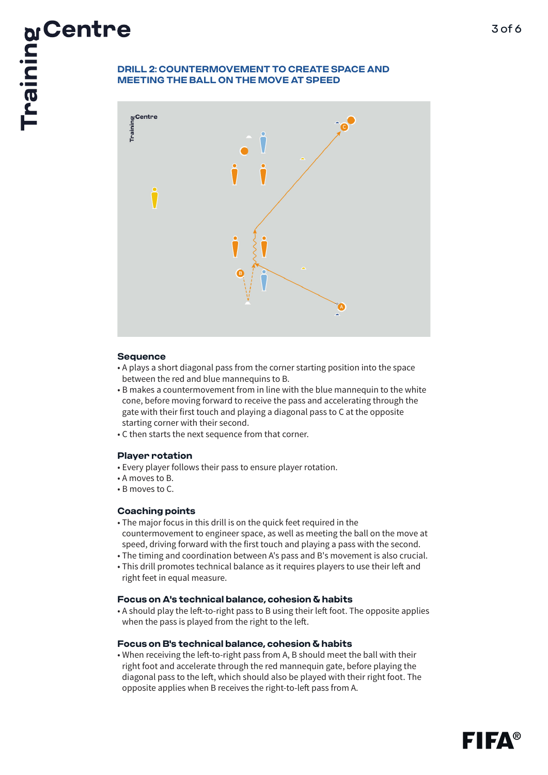## **MEETING THE BALL ON THE MOVE AT SPEED**



#### **Sequence**

- A plays a short diagonal pass from the corner starting position into the space between the red and blue mannequins to B.
- B makes a countermovement from in line with the blue mannequin to the white cone, before moving forward to receive the pass and accelerating through the gate with their first touch and playing a diagonal pass to C at the opposite starting corner with their second.
- C then starts the next sequence from that corner.

#### **Player rotation**

- Every player follows their pass to ensure player rotation.
- A moves to B.
- B moves to C.

### **Coaching points**

- The major focus in this drill is on the quick feet required in the countermovement to engineer space, as well as meeting the ball on the move at speed, driving forward with the first touch and playing a pass with the second.
- The timing and coordination between A's pass and B's movement is also crucial.
- This drill promotes technical balance as it requires players to use their left and right feet in equal measure.

#### **Focus on A's technical balance, cohesion & habits**

• A should play the left-to-right pass to B using their left foot. The opposite applies when the pass is played from the right to the left.

#### **Focus on B's technical balance, cohesion & habits**

• When receiving the left-to-right pass from A, B should meet the ball with their right foot and accelerate through the red mannequin gate, before playing the diagonal pass to the left, which should also be played with their right foot. The opposite applies when B receives the right-to-left pass from A.

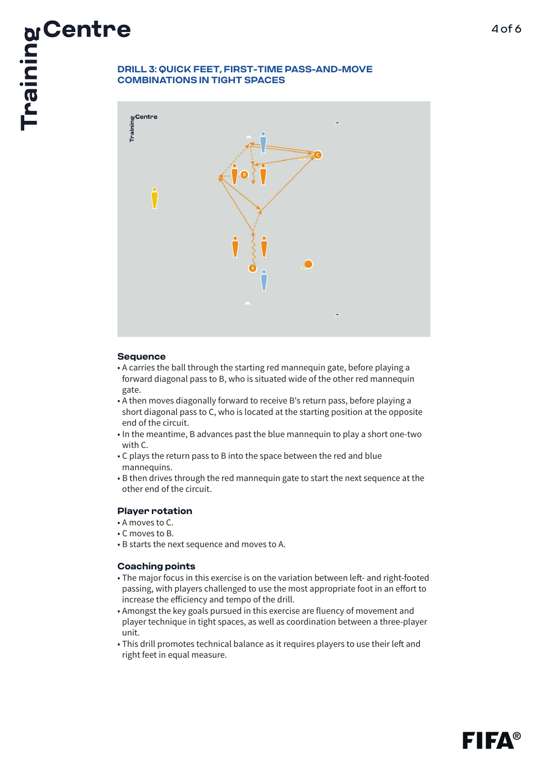

#### **Sequence**

- A carries the ball through the starting red mannequin gate, before playing a forward diagonal pass to B, who is situated wide of the other red mannequin gate.
- A then moves diagonally forward to receive B's return pass, before playing a short diagonal pass to C, who is located at the starting position at the opposite end of the circuit.
- In the meantime, B advances past the blue mannequin to play a short one-two with C.
- C plays the return pass to B into the space between the red and blue mannequins.
- B then drives through the red mannequin gate to start the next sequence at the other end of the circuit.

#### **Player rotation**

- A moves to C.
- C moves to B.
- B starts the next sequence and moves to A.

#### **Coaching points**

- The major focus in this exercise is on the variation between left- and right-footed passing, with players challenged to use the most appropriate foot in an effort to increase the efficiency and tempo of the drill.
- Amongst the key goals pursued in this exercise are fluency of movement and player technique in tight spaces, as well as coordination between a three-player unit.
- This drill promotes technical balance as it requires players to use their left and right feet in equal measure.

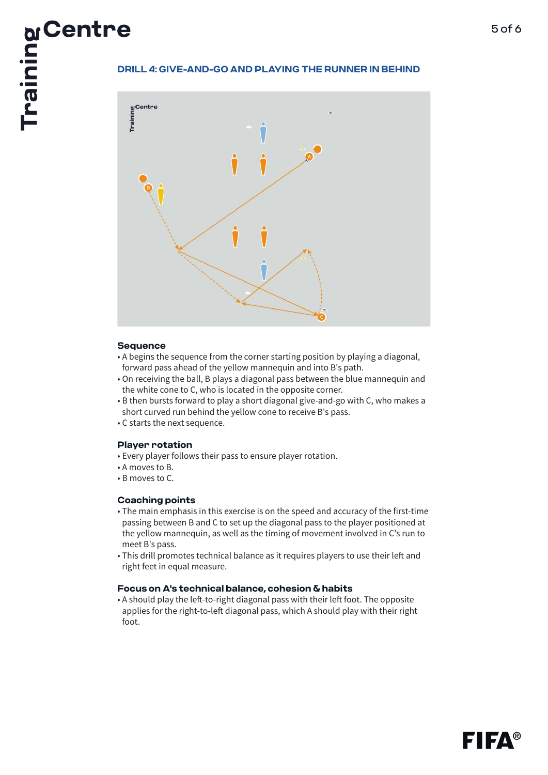

#### **Sequence**

- A begins the sequence from the corner starting position by playing a diagonal, forward pass ahead of the yellow mannequin and into B's path.
- On receiving the ball, B plays a diagonal pass between the blue mannequin and the white cone to C, who is located in the opposite corner.
- B then bursts forward to play a short diagonal give-and-go with C, who makes a short curved run behind the yellow cone to receive B's pass.
- C starts the next sequence.

#### **Player rotation**

- Every player follows their pass to ensure player rotation.
- A moves to B.
- B moves to C.

#### **Coaching points**

- The main emphasis in this exercise is on the speed and accuracy of the first-time passing between B and C to set up the diagonal pass to the player positioned at the yellow mannequin, as well as the timing of movement involved in C's run to meet B's pass.
- This drill promotes technical balance as it requires players to use their left and right feet in equal measure.

#### **Focus on A's technical balance, cohesion & habits**

• A should play the left-to-right diagonal pass with their left foot. The opposite applies for the right-to-left diagonal pass, which A should play with their right foot.